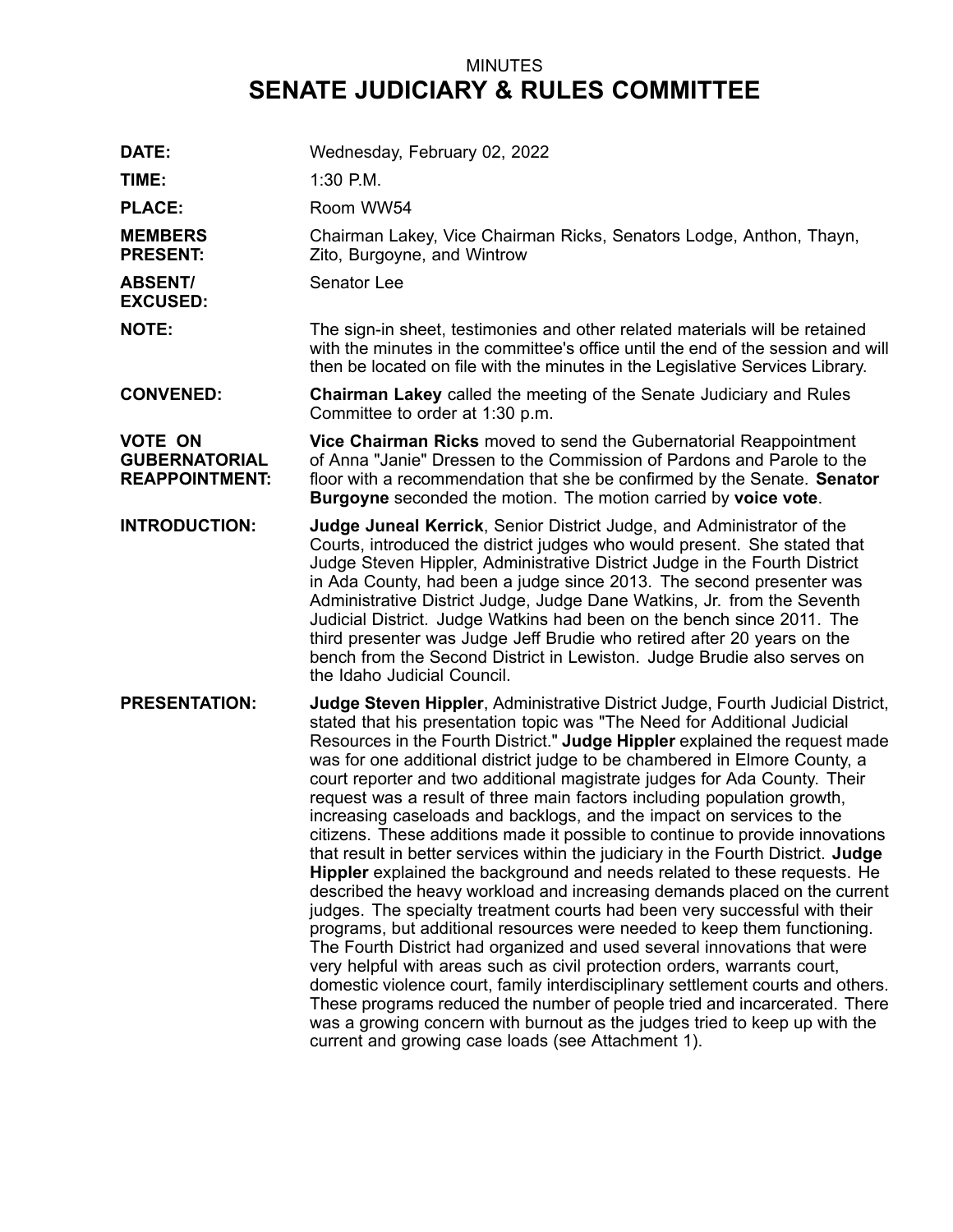## MINUTES **SENATE JUDICIARY & RULES COMMITTEE**

| DATE:                                                           | Wednesday, February 02, 2022                                                                                                                                                                                                                                                                                                                                                                                                                                                                                                                                                                                                                                                                                                                                                                                                                                                                                                                                                                                                                                                                                                                                                                                                                                                                                                                                                                                                                                                                                |
|-----------------------------------------------------------------|-------------------------------------------------------------------------------------------------------------------------------------------------------------------------------------------------------------------------------------------------------------------------------------------------------------------------------------------------------------------------------------------------------------------------------------------------------------------------------------------------------------------------------------------------------------------------------------------------------------------------------------------------------------------------------------------------------------------------------------------------------------------------------------------------------------------------------------------------------------------------------------------------------------------------------------------------------------------------------------------------------------------------------------------------------------------------------------------------------------------------------------------------------------------------------------------------------------------------------------------------------------------------------------------------------------------------------------------------------------------------------------------------------------------------------------------------------------------------------------------------------------|
| TIME:                                                           | 1:30 P.M.                                                                                                                                                                                                                                                                                                                                                                                                                                                                                                                                                                                                                                                                                                                                                                                                                                                                                                                                                                                                                                                                                                                                                                                                                                                                                                                                                                                                                                                                                                   |
| <b>PLACE:</b>                                                   | Room WW54                                                                                                                                                                                                                                                                                                                                                                                                                                                                                                                                                                                                                                                                                                                                                                                                                                                                                                                                                                                                                                                                                                                                                                                                                                                                                                                                                                                                                                                                                                   |
| <b>MEMBERS</b><br><b>PRESENT:</b>                               | Chairman Lakey, Vice Chairman Ricks, Senators Lodge, Anthon, Thayn,<br>Zito, Burgoyne, and Wintrow                                                                                                                                                                                                                                                                                                                                                                                                                                                                                                                                                                                                                                                                                                                                                                                                                                                                                                                                                                                                                                                                                                                                                                                                                                                                                                                                                                                                          |
| <b>ABSENT/</b><br><b>EXCUSED:</b>                               | Senator Lee                                                                                                                                                                                                                                                                                                                                                                                                                                                                                                                                                                                                                                                                                                                                                                                                                                                                                                                                                                                                                                                                                                                                                                                                                                                                                                                                                                                                                                                                                                 |
| <b>NOTE:</b>                                                    | The sign-in sheet, testimonies and other related materials will be retained<br>with the minutes in the committee's office until the end of the session and will<br>then be located on file with the minutes in the Legislative Services Library.                                                                                                                                                                                                                                                                                                                                                                                                                                                                                                                                                                                                                                                                                                                                                                                                                                                                                                                                                                                                                                                                                                                                                                                                                                                            |
| <b>CONVENED:</b>                                                | <b>Chairman Lakey</b> called the meeting of the Senate Judiciary and Rules<br>Committee to order at 1:30 p.m.                                                                                                                                                                                                                                                                                                                                                                                                                                                                                                                                                                                                                                                                                                                                                                                                                                                                                                                                                                                                                                                                                                                                                                                                                                                                                                                                                                                               |
| <b>VOTE ON</b><br><b>GUBERNATORIAL</b><br><b>REAPPOINTMENT:</b> | Vice Chairman Ricks moved to send the Gubernatorial Reappointment<br>of Anna "Janie" Dressen to the Commission of Pardons and Parole to the<br>floor with a recommendation that she be confirmed by the Senate. Senator<br><b>Burgoyne</b> seconded the motion. The motion carried by voice vote.                                                                                                                                                                                                                                                                                                                                                                                                                                                                                                                                                                                                                                                                                                                                                                                                                                                                                                                                                                                                                                                                                                                                                                                                           |
| <b>INTRODUCTION:</b>                                            | <b>Judge Juneal Kerrick, Senior District Judge, and Administrator of the</b><br>Courts, introduced the district judges who would present. She stated that<br>Judge Steven Hippler, Administrative District Judge in the Fourth District<br>in Ada County, had been a judge since 2013. The second presenter was<br>Administrative District Judge, Judge Dane Watkins, Jr. from the Seventh<br>Judicial District. Judge Watkins had been on the bench since 2011. The<br>third presenter was Judge Jeff Brudie who retired after 20 years on the<br>bench from the Second District in Lewiston. Judge Brudie also serves on<br>the Idaho Judicial Council.                                                                                                                                                                                                                                                                                                                                                                                                                                                                                                                                                                                                                                                                                                                                                                                                                                                   |
| <b>PRESENTATION:</b>                                            | Judge Steven Hippler, Administrative District Judge, Fourth Judicial District,<br>stated that his presentation topic was "The Need for Additional Judicial<br>Resources in the Fourth District." Judge Hippler explained the request made<br>was for one additional district judge to be chambered in Elmore County, a<br>court reporter and two additional magistrate judges for Ada County. Their<br>request was a result of three main factors including population growth,<br>increasing caseloads and backlogs, and the impact on services to the<br>citizens. These additions made it possible to continue to provide innovations<br>that result in better services within the judiciary in the Fourth District. Judge<br>Hippler explained the background and needs related to these requests. He<br>described the heavy workload and increasing demands placed on the current<br>judges. The specialty treatment courts had been very successful with their<br>programs, but additional resources were needed to keep them functioning.<br>The Fourth District had organized and used several innovations that were<br>very helpful with areas such as civil protection orders, warrants court,<br>domestic violence court, family interdisciplinary settlement courts and others.<br>These programs reduced the number of people tried and incarcerated. There<br>was a growing concern with burnout as the judges tried to keep up with the<br>current and growing case loads (see Attachment 1). |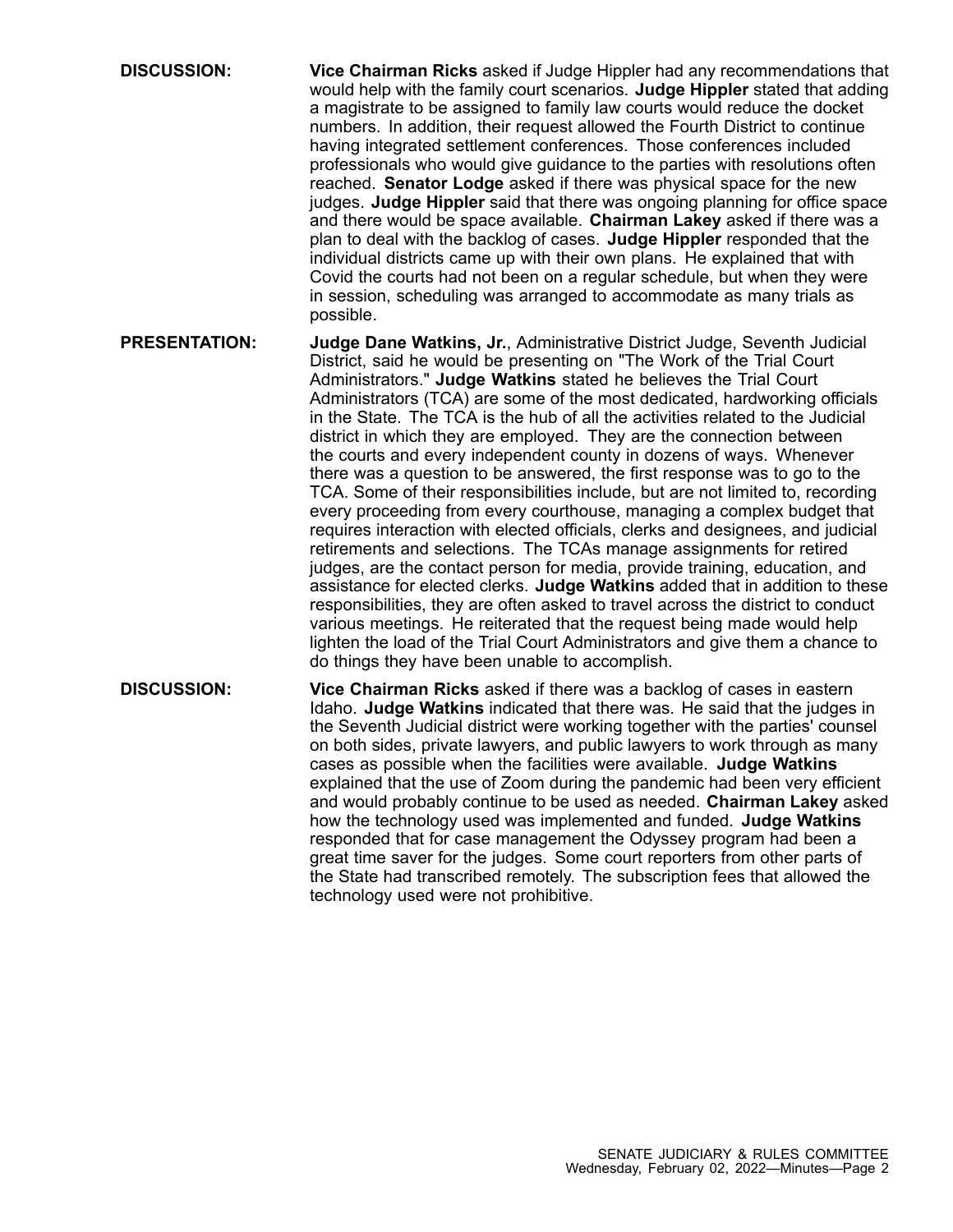- **DISCUSSION: Vice Chairman Ricks** asked if Judge Hippler had any recommendations that would help with the family court scenarios. **Judge Hippler** stated that adding <sup>a</sup> magistrate to be assigned to family law courts would reduce the docket numbers. In addition, their request allowed the Fourth District to continue having integrated settlement conferences. Those conferences included professionals who would give guidance to the parties with resolutions often reached. **Senator Lodge** asked if there was physical space for the new judges. **Judge Hippler** said that there was ongoing planning for office space and there would be space available. **Chairman Lakey** asked if there was <sup>a</sup> plan to deal with the backlog of cases. **Judge Hippler** responded that the individual districts came up with their own plans. He explained that with Covid the courts had not been on <sup>a</sup> regular schedule, but when they were in session, scheduling was arranged to accommodate as many trials as possible.
- **PRESENTATION: Judge Dane Watkins, Jr.**, Administrative District Judge, Seventh Judicial District, said he would be presenting on "The Work of the Trial Court Administrators." **Judge Watkins** stated he believes the Trial Court Administrators (TCA) are some of the most dedicated, hardworking officials in the State. The TCA is the hub of all the activities related to the Judicial district in which they are employed. They are the connection between the courts and every independent county in dozens of ways. Whenever there was <sup>a</sup> question to be answered, the first response was to go to the TCA. Some of their responsibilities include, but are not limited to, recording every proceeding from every courthouse, managing <sup>a</sup> complex budget that requires interaction with elected officials, clerks and designees, and judicial retirements and selections. The TCAs manage assignments for retired judges, are the contact person for media, provide training, education, and assistance for elected clerks. **Judge Watkins** added that in addition to these responsibilities, they are often asked to travel across the district to conduct various meetings. He reiterated that the request being made would help lighten the load of the Trial Court Administrators and give them <sup>a</sup> chance to do things they have been unable to accomplish.

**DISCUSSION: Vice Chairman Ricks** asked if there was <sup>a</sup> backlog of cases in eastern Idaho. **Judge Watkins** indicated that there was. He said that the judges in the Seventh Judicial district were working together with the parties' counsel on both sides, private lawyers, and public lawyers to work through as many cases as possible when the facilities were available. **Judge Watkins** explained that the use of Zoom during the pandemic had been very efficient and would probably continue to be used as needed. **Chairman Lakey** asked how the technology used was implemented and funded. **Judge Watkins** responded that for case management the Odyssey program had been <sup>a</sup> great time saver for the judges. Some court reporters from other parts of the State had transcribed remotely. The subscription fees that allowed the technology used were not prohibitive.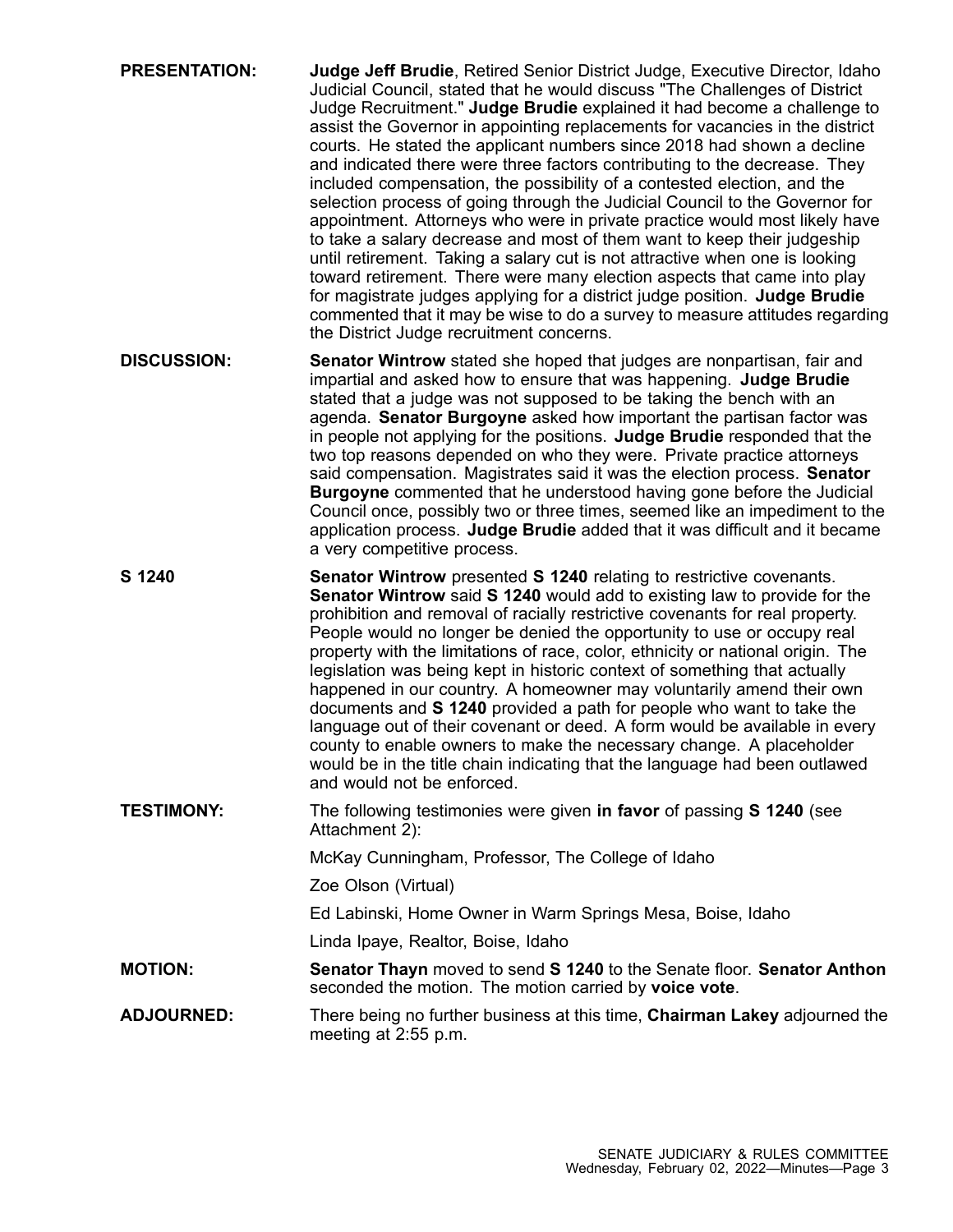| <b>PRESENTATION:</b> | <b>Judge Jeff Brudie, Retired Senior District Judge, Executive Director, Idaho</b><br>Judicial Council, stated that he would discuss "The Challenges of District<br>Judge Recruitment." Judge Brudie explained it had become a challenge to<br>assist the Governor in appointing replacements for vacancies in the district<br>courts. He stated the applicant numbers since 2018 had shown a decline<br>and indicated there were three factors contributing to the decrease. They<br>included compensation, the possibility of a contested election, and the<br>selection process of going through the Judicial Council to the Governor for<br>appointment. Attorneys who were in private practice would most likely have<br>to take a salary decrease and most of them want to keep their judgeship<br>until retirement. Taking a salary cut is not attractive when one is looking<br>toward retirement. There were many election aspects that came into play<br>for magistrate judges applying for a district judge position. Judge Brudie<br>commented that it may be wise to do a survey to measure attitudes regarding<br>the District Judge recruitment concerns. |
|----------------------|--------------------------------------------------------------------------------------------------------------------------------------------------------------------------------------------------------------------------------------------------------------------------------------------------------------------------------------------------------------------------------------------------------------------------------------------------------------------------------------------------------------------------------------------------------------------------------------------------------------------------------------------------------------------------------------------------------------------------------------------------------------------------------------------------------------------------------------------------------------------------------------------------------------------------------------------------------------------------------------------------------------------------------------------------------------------------------------------------------------------------------------------------------------------------|
| <b>DISCUSSION:</b>   | <b>Senator Wintrow</b> stated she hoped that judges are nonpartisan, fair and<br>impartial and asked how to ensure that was happening. Judge Brudie<br>stated that a judge was not supposed to be taking the bench with an<br>agenda. Senator Burgoyne asked how important the partisan factor was<br>in people not applying for the positions. Judge Brudie responded that the<br>two top reasons depended on who they were. Private practice attorneys<br>said compensation. Magistrates said it was the election process. Senator<br><b>Burgoyne</b> commented that he understood having gone before the Judicial<br>Council once, possibly two or three times, seemed like an impediment to the<br>application process. Judge Brudie added that it was difficult and it became<br>a very competitive process.                                                                                                                                                                                                                                                                                                                                                        |
| S 1240               | <b>Senator Wintrow</b> presented S 1240 relating to restrictive covenants.<br><b>Senator Wintrow</b> said S 1240 would add to existing law to provide for the<br>prohibition and removal of racially restrictive covenants for real property.<br>People would no longer be denied the opportunity to use or occupy real<br>property with the limitations of race, color, ethnicity or national origin. The<br>legislation was being kept in historic context of something that actually<br>happened in our country. A homeowner may voluntarily amend their own<br>documents and S 1240 provided a path for people who want to take the<br>language out of their covenant or deed. A form would be available in every<br>county to enable owners to make the necessary change. A placeholder<br>would be in the title chain indicating that the language had been outlawed<br>and would not be enforced.                                                                                                                                                                                                                                                                 |
| <b>TESTIMONY:</b>    | The following testimonies were given in favor of passing S 1240 (see<br>Attachment 2):                                                                                                                                                                                                                                                                                                                                                                                                                                                                                                                                                                                                                                                                                                                                                                                                                                                                                                                                                                                                                                                                                   |
|                      | McKay Cunningham, Professor, The College of Idaho                                                                                                                                                                                                                                                                                                                                                                                                                                                                                                                                                                                                                                                                                                                                                                                                                                                                                                                                                                                                                                                                                                                        |
|                      | Zoe Olson (Virtual)                                                                                                                                                                                                                                                                                                                                                                                                                                                                                                                                                                                                                                                                                                                                                                                                                                                                                                                                                                                                                                                                                                                                                      |
|                      | Ed Labinski, Home Owner in Warm Springs Mesa, Boise, Idaho                                                                                                                                                                                                                                                                                                                                                                                                                                                                                                                                                                                                                                                                                                                                                                                                                                                                                                                                                                                                                                                                                                               |
|                      | Linda Ipaye, Realtor, Boise, Idaho                                                                                                                                                                                                                                                                                                                                                                                                                                                                                                                                                                                                                                                                                                                                                                                                                                                                                                                                                                                                                                                                                                                                       |
| <b>MOTION:</b>       | Senator Thayn moved to send S 1240 to the Senate floor. Senator Anthon<br>seconded the motion. The motion carried by voice vote.                                                                                                                                                                                                                                                                                                                                                                                                                                                                                                                                                                                                                                                                                                                                                                                                                                                                                                                                                                                                                                         |
| <b>ADJOURNED:</b>    | There being no further business at this time, Chairman Lakey adjourned the<br>meeting at 2:55 p.m.                                                                                                                                                                                                                                                                                                                                                                                                                                                                                                                                                                                                                                                                                                                                                                                                                                                                                                                                                                                                                                                                       |